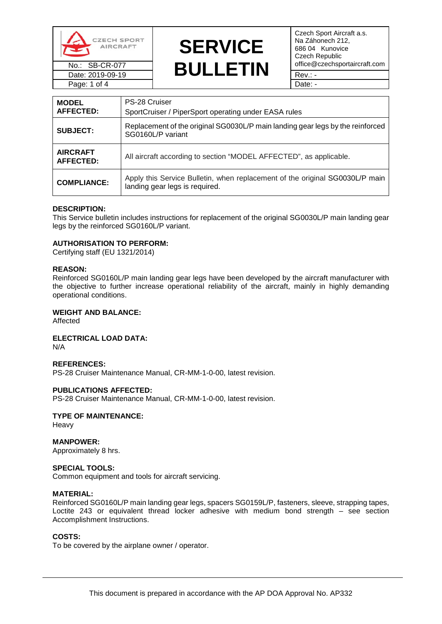



Czech Sport Aircraft a.s. Na Záhonech 212, 686 04 Kunovice Czech Republic<br>office@czechsportaircraft.com

| <b>MODEL</b><br><b>AFFECTED:</b>    | PS-28 Cruiser<br>SportCruiser / PiperSport operating under EASA rules                                          |
|-------------------------------------|----------------------------------------------------------------------------------------------------------------|
| <b>SUBJECT:</b>                     | Replacement of the original SG0030L/P main landing gear legs by the reinforced<br>SG0160L/P variant            |
| <b>AIRCRAFT</b><br><b>AFFECTED:</b> | All aircraft according to section "MODEL AFFECTED", as applicable.                                             |
| <b>COMPLIANCE:</b>                  | Apply this Service Bulletin, when replacement of the original SG0030L/P main<br>landing gear legs is required. |

#### **DESCRIPTION:**

This Service bulletin includes instructions for replacement of the original SG0030L/P main landing gear legs by the reinforced SG0160L/P variant.

#### **AUTHORISATION TO PERFORM:**

Certifying staff (EU 1321/2014)

#### **REASON:**

Reinforced SG0160L/P main landing gear legs have been developed by the aircraft manufacturer with the objective to further increase operational reliability of the aircraft, mainly in highly demanding operational conditions.

#### **WEIGHT AND BALANCE:**

Affected

**ELECTRICAL LOAD DATA:** N/A

#### **REFERENCES:**

PS-28 Cruiser Maintenance Manual, CR-MM-1-0-00, latest revision.

#### **PUBLICATIONS AFFECTED:**

PS-28 Cruiser Maintenance Manual, CR-MM-1-0-00, latest revision.

## **TYPE OF MAINTENANCE:**

Heavy

## **MANPOWER:**

Approximately 8 hrs.

#### **SPECIAL TOOLS:**

Common equipment and tools for aircraft servicing.

#### **MATERIAL:**

Reinforced SG0160L/P main landing gear legs, spacers SG0159L/P, fasteners, sleeve, strapping tapes, Loctite 243 or equivalent thread locker adhesive with medium bond strength – see section Accomplishment Instructions.

#### **COSTS:**

To be covered by the airplane owner / operator.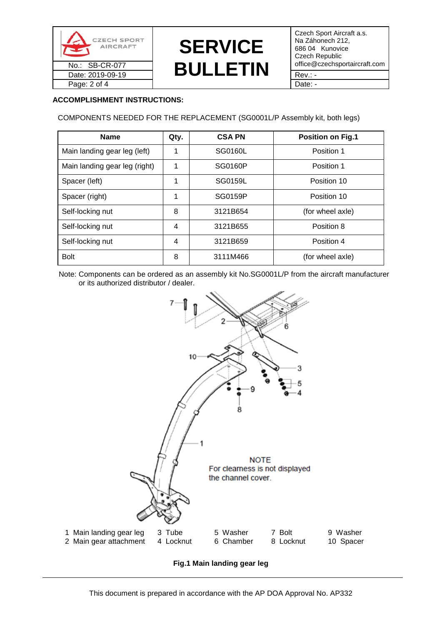

# **SERVICE**  No.: SB-CR-077 **BULLETIN** office@czechsportaircraft.com Date: 2019-09-19  $\blacksquare$

Czech Sport Aircraft a.s. Na Záhonech 212, 686 04 Kunovice Czech Republic

## **ACCOMPLISHMENT INSTRUCTIONS:**

COMPONENTS NEEDED FOR THE REPLACEMENT (SG0001L/P Assembly kit, both legs)

| <b>Name</b>                   | Qty. | <b>CSA PN</b> | <b>Position on Fig.1</b> |
|-------------------------------|------|---------------|--------------------------|
| Main landing gear leg (left)  | 1    | SG0160L       | Position 1               |
| Main landing gear leg (right) | 1    | SG0160P       | Position 1               |
| Spacer (left)                 | 1    | SG0159L       | Position 10              |
| Spacer (right)                | 1    | SG0159P       | Position 10              |
| Self-locking nut              | 8    | 3121B654      | (for wheel axle)         |
| Self-locking nut              | 4    | 3121B655      | Position 8               |
| Self-locking nut              | 4    | 3121B659      | Position 4               |
| <b>Bolt</b>                   | 8    | 3111M466      | (for wheel axle)         |

 Note: Components can be ordered as an assembly kit No.SG0001L/P from the aircraft manufacturer or its authorized distributor / dealer.



**Fig.1 Main landing gear leg**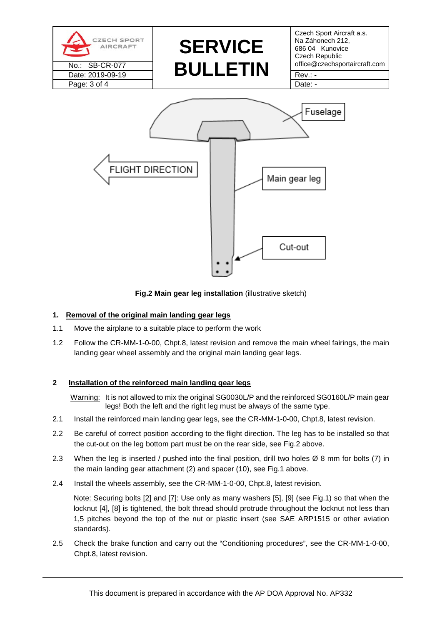

**Fig.2 Main gear leg installation** (illustrative sketch)

## **1. Removal of the original main landing gear legs**

- 1.1 Move the airplane to a suitable place to perform the work
- 1.2 Follow the CR-MM-1-0-00, Chpt.8, latest revision and remove the main wheel fairings, the main landing gear wheel assembly and the original main landing gear legs.

## **2 Installation of the reinforced main landing gear legs**

Warning: It is not allowed to mix the original SG0030L/P and the reinforced SG0160L/P main gear legs! Both the left and the right leg must be always of the same type.

- 2.1 Install the reinforced main landing gear legs, see the CR-MM-1-0-00, Chpt.8, latest revision.
- 2.2 Be careful of correct position according to the flight direction. The leg has to be installed so that the cut-out on the leg bottom part must be on the rear side, see Fig.2 above.
- 2.3 When the leg is inserted / pushed into the final position, drill two holes  $\varnothing$  8 mm for bolts (7) in the main landing gear attachment (2) and spacer (10), see Fig.1 above.
- 2.4 Install the wheels assembly, see the CR-MM-1-0-00, Chpt.8, latest revision.

Note: Securing bolts [2] and [7]: Use only as many washers [5], [9] (see Fig.1) so that when the locknut [4], [8] is tightened, the bolt thread should protrude throughout the locknut not less than 1,5 pitches beyond the top of the nut or plastic insert (see SAE ARP1515 or other aviation standards).

2.5 Check the brake function and carry out the "Conditioning procedures", see the CR-MM-1-0-00, Chpt.8, latest revision.